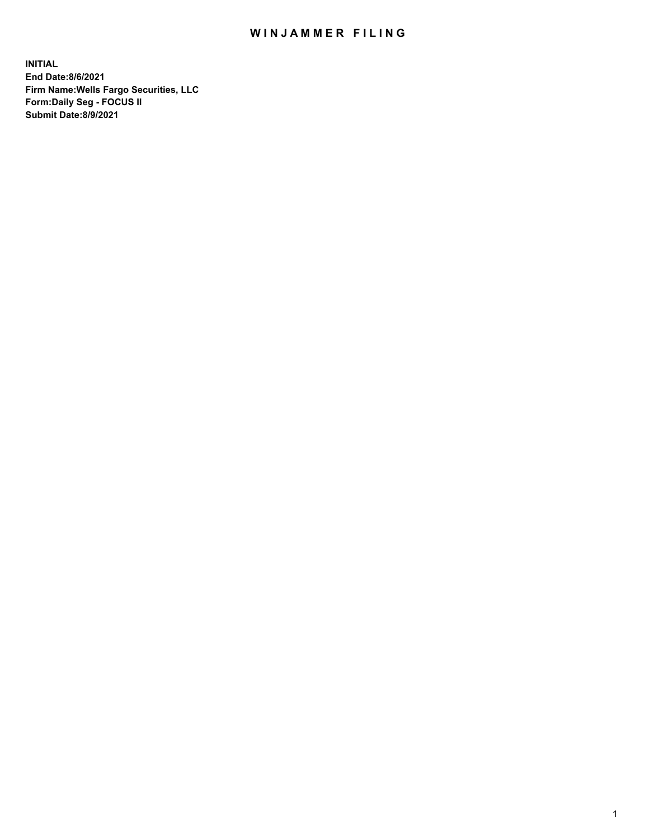## WIN JAMMER FILING

**INITIAL End Date:8/6/2021 Firm Name:Wells Fargo Securities, LLC Form:Daily Seg - FOCUS II Submit Date:8/9/2021**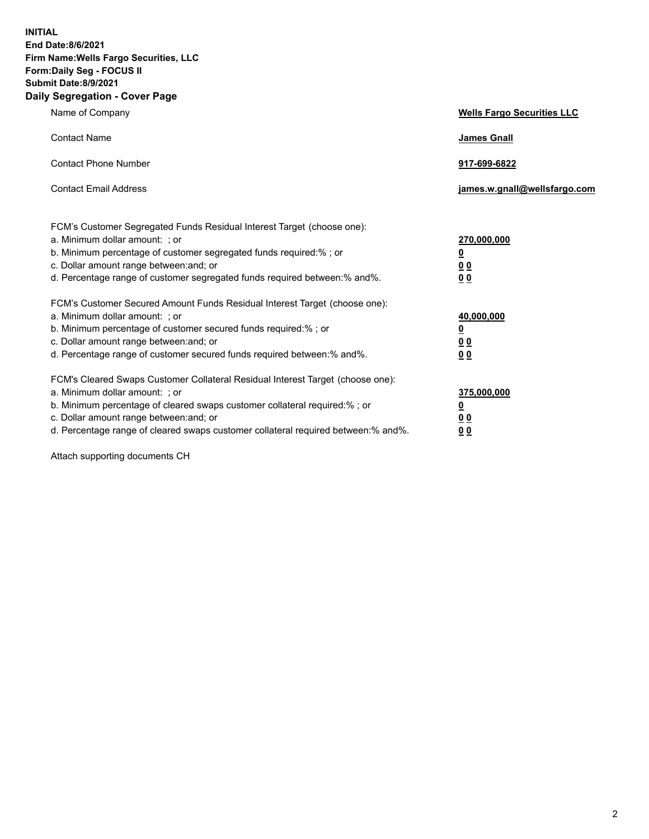**INITIAL End Date:8/6/2021 Firm Name:Wells Fargo Securities, LLC Form:Daily Seg - FOCUS II Submit Date:8/9/2021 Daily Segregation - Cover Page**

| Name of Company                                                                                                                                                                                                                                                                                                                | <b>Wells Fargo Securities LLC</b>                                         |
|--------------------------------------------------------------------------------------------------------------------------------------------------------------------------------------------------------------------------------------------------------------------------------------------------------------------------------|---------------------------------------------------------------------------|
| <b>Contact Name</b>                                                                                                                                                                                                                                                                                                            | <b>James Gnall</b>                                                        |
| <b>Contact Phone Number</b>                                                                                                                                                                                                                                                                                                    | 917-699-6822                                                              |
| <b>Contact Email Address</b>                                                                                                                                                                                                                                                                                                   | james.w.gnall@wellsfargo.com                                              |
| FCM's Customer Segregated Funds Residual Interest Target (choose one):<br>a. Minimum dollar amount: ; or<br>b. Minimum percentage of customer segregated funds required:% ; or<br>c. Dollar amount range between: and; or<br>d. Percentage range of customer segregated funds required between:% and%.                         | 270,000,000<br>$\overline{\mathbf{0}}$<br>0 <sub>0</sub><br>00            |
| FCM's Customer Secured Amount Funds Residual Interest Target (choose one):<br>a. Minimum dollar amount: ; or<br>b. Minimum percentage of customer secured funds required:%; or<br>c. Dollar amount range between: and; or<br>d. Percentage range of customer secured funds required between:% and%.                            | 40,000,000<br>$\overline{\mathbf{0}}$<br>0 <sub>0</sub><br>0 <sub>0</sub> |
| FCM's Cleared Swaps Customer Collateral Residual Interest Target (choose one):<br>a. Minimum dollar amount: ; or<br>b. Minimum percentage of cleared swaps customer collateral required:% ; or<br>c. Dollar amount range between: and; or<br>d. Percentage range of cleared swaps customer collateral required between:% and%. | 375,000,000<br><u>0</u><br>00<br>00                                       |

Attach supporting documents CH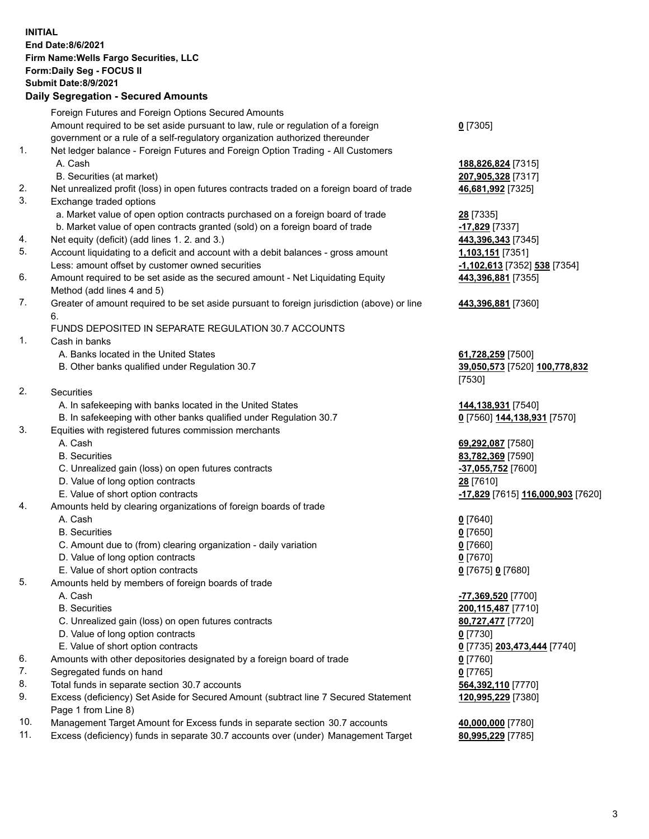**INITIAL End Date:8/6/2021 Firm Name:Wells Fargo Securities, LLC Form:Daily Seg - FOCUS II Submit Date:8/9/2021 Daily Segregation - Secured Amounts** Foreign Futures and Foreign Options Secured Amounts Amount required to be set aside pursuant to law, rule or regulation of a foreign government or a rule of a self-regulatory organization authorized thereunder 1. Net ledger balance - Foreign Futures and Foreign Option Trading - All Customers A. Cash **188,826,824** [7315] B. Securities (at market) **207,905,328** [7317] 2. Net unrealized profit (loss) in open futures contracts traded on a foreign board of trade **46,681,992** [7325] 3. Exchange traded options a. Market value of open option contracts purchased on a foreign board of trade **28** [7335] b. Market value of open contracts granted (sold) on a foreign board of trade **-17,829** [7337] 4. Net equity (deficit) (add lines 1. 2. and 3.) **443,396,343** [7345] 5. Account liquidating to a deficit and account with a debit balances - gross amount **1,103,151** [7351] Less: amount offset by customer owned securities **-1,102,613** [7352] **538** [7354] 6. Amount required to be set aside as the secured amount - Net Liquidating Equity Method (add lines 4 and 5) 7. Greater of amount required to be set aside pursuant to foreign jurisdiction (above) or line 6. FUNDS DEPOSITED IN SEPARATE REGULATION 30.7 ACCOUNTS 1. Cash in banks A. Banks located in the United States **61,728,259** [7500] B. Other banks qualified under Regulation 30.7 **39,050,573** [7520] **100,778,832** 2. Securities A. In safekeeping with banks located in the United States **144,138,931** [7540] B. In safekeeping with other banks qualified under Regulation 30.7 **0** [7560] **144,138,931** [7570] 3. Equities with registered futures commission merchants A. Cash **69,292,087** [7580] B. Securities **83,782,369** [7590] C. Unrealized gain (loss) on open futures contracts **-37,055,752** [7600] D. Value of long option contracts **28** [7610] E. Value of short option contracts **-17,829** [7615] **116,000,903** [7620] 4. Amounts held by clearing organizations of foreign boards of trade A. Cash **0** [7640] B. Securities **0** [7650] C. Amount due to (from) clearing organization - daily variation **0** [7660] D. Value of long option contracts **0** [7670] E. Value of short option contracts **0** [7675] **0** [7680] 5. Amounts held by members of foreign boards of trade A. Cash **-77,369,520** [7700] B. Securities **200,115,487** [7710] C. Unrealized gain (loss) on open futures contracts **80,727,477** [7720] D. Value of long option contracts **0** [7730]

- 
- 
- 6. Amounts with other depositories designated by a foreign board of trade **0** [7760]
- 7. Segregated funds on hand **0** [7765]
- 8. Total funds in separate section 30.7 accounts **564,392,110** [7770]
- 9. Excess (deficiency) Set Aside for Secured Amount (subtract line 7 Secured Statement Page 1 from Line 8)
- 10. Management Target Amount for Excess funds in separate section 30.7 accounts **40,000,000** [7780]
- 11. Excess (deficiency) funds in separate 30.7 accounts over (under) Management Target **80,995,229** [7785]

**0** [7305]

**443,396,881** [7355]

## **443,396,881** [7360]

[7530]

 E. Value of short option contracts **0** [7735] **203,473,444** [7740] **120,995,229** [7380]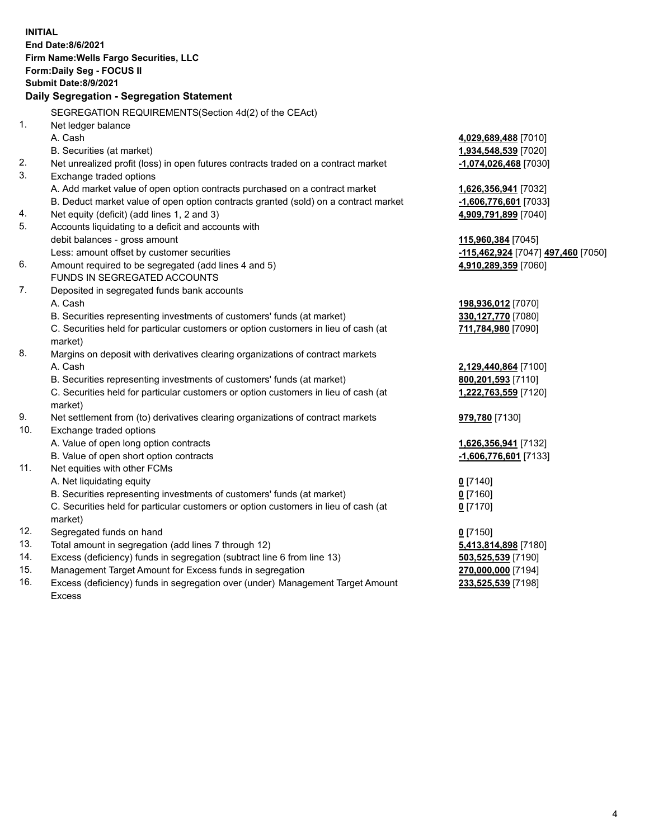|     | <b>INITIAL</b>                                                                      |                                                              |
|-----|-------------------------------------------------------------------------------------|--------------------------------------------------------------|
|     | <b>End Date:8/6/2021</b>                                                            |                                                              |
|     | Firm Name: Wells Fargo Securities, LLC                                              |                                                              |
|     | Form: Daily Seg - FOCUS II                                                          |                                                              |
|     | <b>Submit Date: 8/9/2021</b>                                                        |                                                              |
|     | Daily Segregation - Segregation Statement                                           |                                                              |
|     | SEGREGATION REQUIREMENTS(Section 4d(2) of the CEAct)                                |                                                              |
| 1.  | Net ledger balance                                                                  |                                                              |
|     | A. Cash                                                                             | 4,029,689,488 [7010]                                         |
|     | B. Securities (at market)                                                           | 1,934,548,539 [7020]                                         |
| 2.  | Net unrealized profit (loss) in open futures contracts traded on a contract market  | -1,074,026,468 [7030]                                        |
| 3.  | Exchange traded options                                                             |                                                              |
|     | A. Add market value of open option contracts purchased on a contract market         | 1,626,356,941 [7032]                                         |
|     | B. Deduct market value of open option contracts granted (sold) on a contract market | -1,606,776,601 [7033]                                        |
| 4.  | Net equity (deficit) (add lines 1, 2 and 3)                                         | 4,909,791,899 [7040]                                         |
| 5.  | Accounts liquidating to a deficit and accounts with                                 |                                                              |
|     | debit balances - gross amount                                                       | 115,960,384 [7045]                                           |
|     | Less: amount offset by customer securities                                          | <mark>-115,462,924</mark> [7047] <mark>497,460</mark> [7050] |
| 6.  | Amount required to be segregated (add lines 4 and 5)                                | 4,910,289,359 [7060]                                         |
|     | FUNDS IN SEGREGATED ACCOUNTS                                                        |                                                              |
| 7.  | Deposited in segregated funds bank accounts                                         |                                                              |
|     | A. Cash                                                                             | 198,936,012 [7070]                                           |
|     | B. Securities representing investments of customers' funds (at market)              | 330,127,770 [7080]                                           |
|     | C. Securities held for particular customers or option customers in lieu of cash (at | 711,784,980 [7090]                                           |
|     | market)                                                                             |                                                              |
| 8.  | Margins on deposit with derivatives clearing organizations of contract markets      |                                                              |
|     | A. Cash                                                                             | 2,129,440,864 [7100]                                         |
|     | B. Securities representing investments of customers' funds (at market)              | 800,201,593 [7110]                                           |
|     | C. Securities held for particular customers or option customers in lieu of cash (at | 1,222,763,559 [7120]                                         |
|     | market)                                                                             |                                                              |
| 9.  | Net settlement from (to) derivatives clearing organizations of contract markets     | 979,780 [7130]                                               |
| 10. | Exchange traded options                                                             |                                                              |
|     | A. Value of open long option contracts                                              | 1,626,356,941 [7132]                                         |
|     | B. Value of open short option contracts                                             | $-1,606,776,601$ [7133]                                      |
| 11. | Net equities with other FCMs                                                        |                                                              |
|     | A. Net liquidating equity                                                           | $0$ [7140]                                                   |
|     | B. Securities representing investments of customers' funds (at market)              | $0$ [7160]                                                   |
|     | C. Securities held for particular customers or option customers in lieu of cash (at | $0$ [7170]                                                   |
|     | market)                                                                             |                                                              |
| 12. | Segregated funds on hand                                                            | $0$ [7150]                                                   |
| 13. | Total amount in segregation (add lines 7 through 12)                                | 5,413,814,898 [7180]                                         |
| 14. | Excess (deficiency) funds in segregation (subtract line 6 from line 13)             | 503,525,539 [7190]                                           |
| 15. | Management Target Amount for Excess funds in segregation                            | 270,000,000 [7194]                                           |
| 16. | Excess (deficiency) funds in segregation over (under) Management Target Amount      | 233,525,539 [7198]                                           |
|     | Excess                                                                              |                                                              |